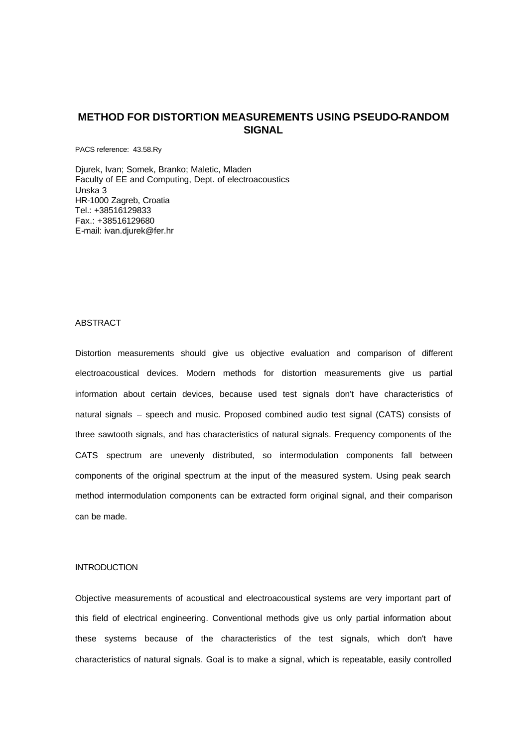# **METHOD FOR DISTORTION MEASUREMENTS USING PSEUDO-RANDOM SIGNAL**

PACS reference: 43.58.Ry

Djurek, Ivan; Somek, Branko; Maletic, Mladen Faculty of EE and Computing, Dept. of electroacoustics Unska 3 HR-1000 Zagreb, Croatia Tel.: +38516129833 Fax.: +38516129680 E-mail: ivan.djurek@fer.hr

### ABSTRACT

Distortion measurements should give us objective evaluation and comparison of different electroacoustical devices. Modern methods for distortion measurements give us partial information about certain devices, because used test signals don't have characteristics of natural signals – speech and music. Proposed combined audio test signal (CATS) consists of three sawtooth signals, and has characteristics of natural signals. Frequency components of the CATS spectrum are unevenly distributed, so intermodulation components fall between components of the original spectrum at the input of the measured system. Using peak search method intermodulation components can be extracted form original signal, and their comparison can be made.

#### INTRODUCTION

Objective measurements of acoustical and electroacoustical systems are very important part of this field of electrical engineering. Conventional methods give us only partial information about these systems because of the characteristics of the test signals, which don't have characteristics of natural signals. Goal is to make a signal, which is repeatable, easily controlled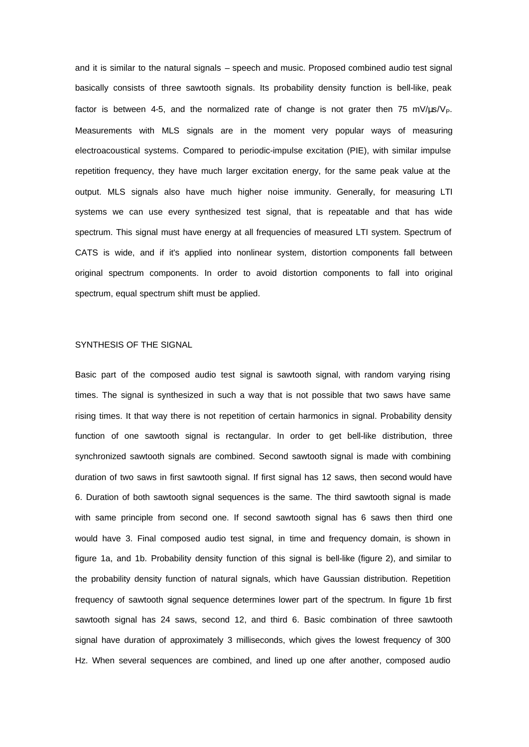and it is similar to the natural signals – speech and music. Proposed combined audio test signal basically consists of three sawtooth signals. Its probability density function is bell-like, peak factor is between 4-5, and the normalized rate of change is not grater then 75 mV/ $\mu$ s/V<sub>P</sub>. Measurements with MLS signals are in the moment very popular ways of measuring electroacoustical systems. Compared to periodic-impulse excitation (PIE), with similar impulse repetition frequency, they have much larger excitation energy, for the same peak value at the output. MLS signals also have much higher noise immunity. Generally, for measuring LTI systems we can use every synthesized test signal, that is repeatable and that has wide spectrum. This signal must have energy at all frequencies of measured LTI system. Spectrum of CATS is wide, and if it's applied into nonlinear system, distortion components fall between original spectrum components. In order to avoid distortion components to fall into original spectrum, equal spectrum shift must be applied.

# SYNTHESIS OF THE SIGNAL

Basic part of the composed audio test signal is sawtooth signal, with random varying rising times. The signal is synthesized in such a way that is not possible that two saws have same rising times. It that way there is not repetition of certain harmonics in signal. Probability density function of one sawtooth signal is rectangular. In order to get bell-like distribution, three synchronized sawtooth signals are combined. Second sawtooth signal is made with combining duration of two saws in first sawtooth signal. If first signal has 12 saws, then second would have 6. Duration of both sawtooth signal sequences is the same. The third sawtooth signal is made with same principle from second one. If second sawtooth signal has 6 saws then third one would have 3. Final composed audio test signal, in time and frequency domain, is shown in figure 1a, and 1b. Probability density function of this signal is bell-like (figure 2), and similar to the probability density function of natural signals, which have Gaussian distribution. Repetition frequency of sawtooth signal sequence determines lower part of the spectrum. In figure 1b first sawtooth signal has 24 saws, second 12, and third 6. Basic combination of three sawtooth signal have duration of approximately 3 milliseconds, which gives the lowest frequency of 300 Hz. When several sequences are combined, and lined up one after another, composed audio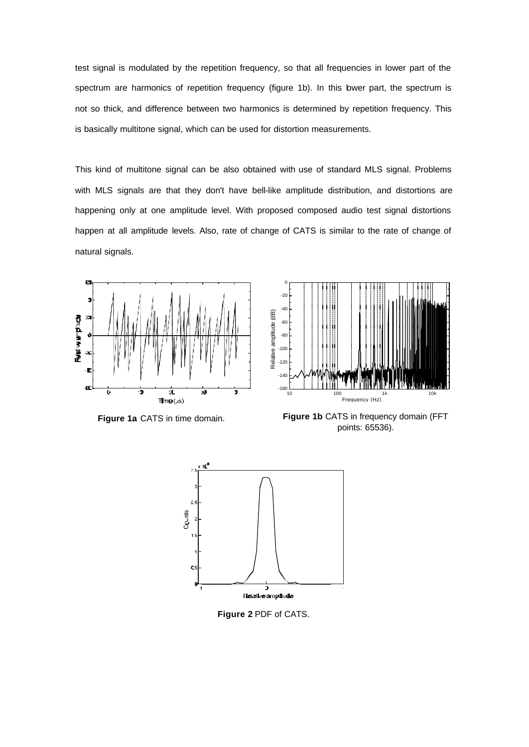test signal is modulated by the repetition frequency, so that all frequencies in lower part of the spectrum are harmonics of repetition frequency (figure 1b). In this bwer part, the spectrum is not so thick, and difference between two harmonics is determined by repetition frequency. This is basically multitone signal, which can be used for distortion measurements.

This kind of multitone signal can be also obtained with use of standard MLS signal. Problems with MLS signals are that they don't have bell-like amplitude distribution, and distortions are happening only at one amplitude level. With proposed composed audio test signal distortions happen at all amplitude levels. Also, rate of change of CATS is similar to the rate of change of natural signals.



**Figure 1a** CATS in time domain.



**Figure 1b** CATS in frequency domain (FFT points: 65536).



**Figure 2** PDF of CATS.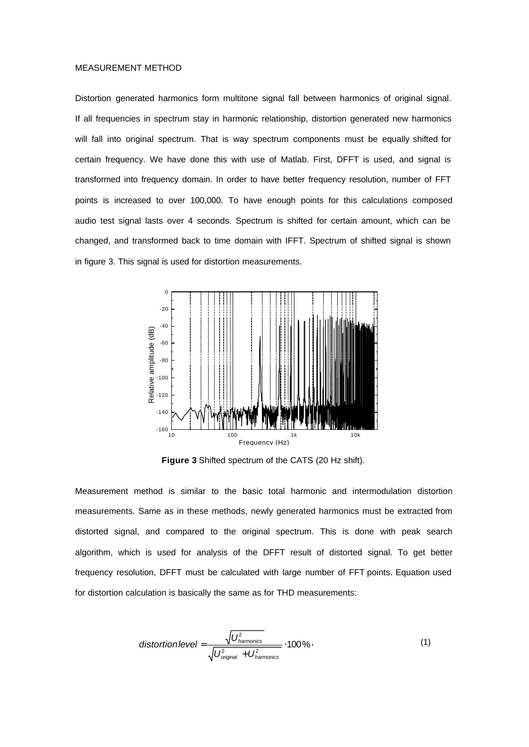#### MEASUREMENT METHOD

Distortion generated harmonics form multitone signal fall between harmonics of original signal. If all frequencies in spectrum stay in harmonic relationship, distortion generated new harmonics will fall into original spectrum. That is way spectrum components must be equally shifted for certain frequency. We have done this with use of Matlab. First, DFFT is used, and signal is transformed into frequency domain. In order to have better frequency resolution, number of FFT points is increased to over 100,000. To have enough points for this calculations composed audio test signal lasts over 4 seconds. Spectrum is shifted for certain amount, which can be changed, and transformed back to time domain with IFFT. Spectrum of shifted signal is shown in figure 3. This signal is used for distortion measurements.



**Figure 3** Shifted spectrum of the CATS (20 Hz shift).

Measurement method is similar to the basic total harmonic and intermodulation distortion measurements. Same as in these methods, newly generated harmonics must be extracted from distorted signal, and compared to the original spectrum. This is done with peak search algorithm, which is used for analysis of the DFFT result of distorted signal. To get better frequency resolution, DFFT must be calculated with large number of FFT points. Equation used for distortion calculation is basically the same as for THD measurements:

$$
\text{distortion level} = \frac{\sqrt{U_{\text{hamonics}}^2}}{\sqrt{U_{\text{original}}^2 + U_{\text{hamonics}}^2}} \cdot 100\,\% \,,\tag{1}
$$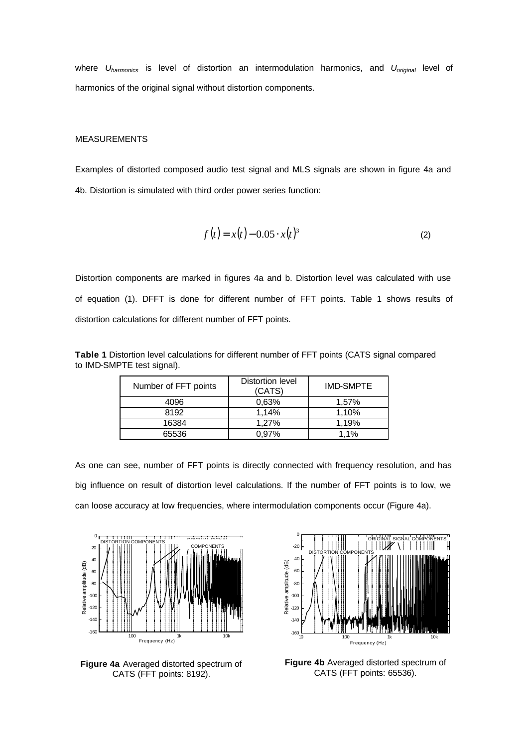where *Uharmonics* is level of distortion an intermodulation harmonics, and *Uoriginal* level of harmonics of the original signal without distortion components.

#### MEASUREMENTS

Examples of distorted composed audio test signal and MLS signals are shown in figure 4a and 4b. Distortion is simulated with third order power series function:

$$
f(t) = x(t) - 0.05 \cdot x(t)^3
$$
 (2)

Distortion components are marked in figures 4a and b. Distortion level was calculated with use of equation (1). DFFT is done for different number of FFT points. Table 1 shows results of distortion calculations for different number of FFT points.

**Table 1** Distortion level calculations for different number of FFT points (CATS signal compared to IMD-SMPTE test signal).

| Number of FFT points | Distortion level<br>(CATS) | <b>IMD-SMPTE</b> |
|----------------------|----------------------------|------------------|
| 4096                 | 0.63%                      | 1.57%            |
| 8192                 | 1.14%                      | 1.10%            |
| 16384                | 1.27%                      | 1.19%            |
| 65536                | $0.97\%$                   | 1.1%             |

As one can see, number of FFT points is directly connected with frequency resolution, and has big influence on result of distortion level calculations. If the number of FFT points is to low, we can loose accuracy at low frequencies, where intermodulation components occur (Figure 4a).



**Figure 4a** Averaged distorted spectrum of CATS (FFT points: 8192).



**Figure 4b** Averaged distorted spectrum of CATS (FFT points: 65536).